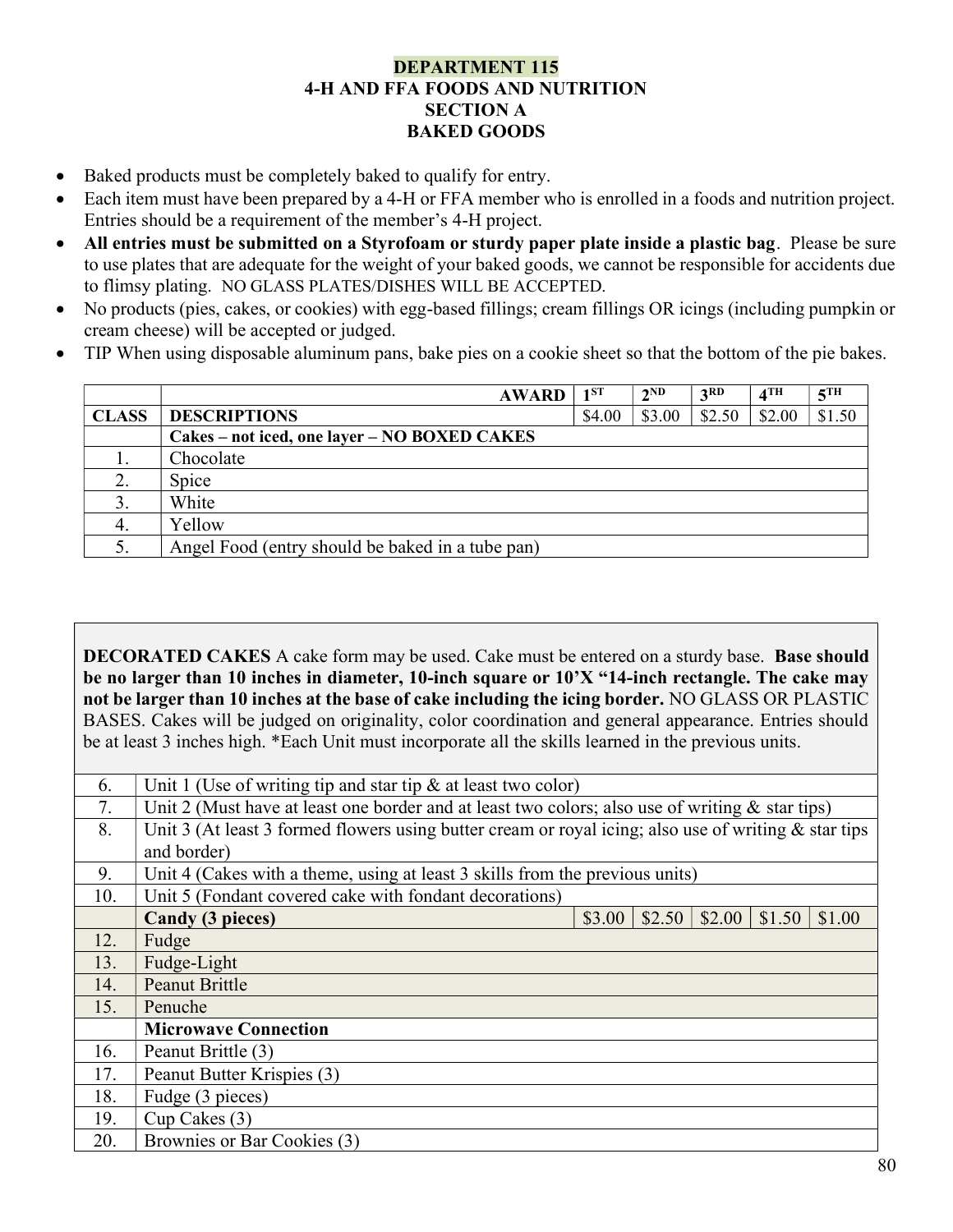## DEPARTMENT 115 4-H AND FFA FOODS AND NUTRITION SECTION A BAKED GOODS

- Baked products must be completely baked to qualify for entry.
- Each item must have been prepared by a 4-H or FFA member who is enrolled in a foods and nutrition project. Entries should be a requirement of the member's 4-H project.
- All entries must be submitted on a Styrofoam or sturdy paper plate inside a plastic bag. Please be sure to use plates that are adequate for the weight of your baked goods, we cannot be responsible for accidents due to flimsy plating. NO GLASS PLATES/DISHES WILL BE ACCEPTED.
- No products (pies, cakes, or cookies) with egg-based fillings; cream fillings OR icings (including pumpkin or cream cheese) will be accepted or judged.
- TIP When using disposable aluminum pans, bake pies on a cookie sheet so that the bottom of the pie bakes.

|              | <b>AWARD</b>                                     | $1^{ST}$ | $2^{ND}$ | 3 <sup>RD</sup> | 4 <sup>TH</sup> | 5 <sup>TH</sup> |
|--------------|--------------------------------------------------|----------|----------|-----------------|-----------------|-----------------|
| <b>CLASS</b> | <b>DESCRIPTIONS</b>                              | \$4.00   | \$3.00   | \$2.50          | \$2.00          | \$1.50          |
|              | Cakes – not iced, one layer – NO BOXED CAKES     |          |          |                 |                 |                 |
|              | Chocolate                                        |          |          |                 |                 |                 |
|              | Spice                                            |          |          |                 |                 |                 |
| 3.           | White                                            |          |          |                 |                 |                 |
| -4.          | Yellow                                           |          |          |                 |                 |                 |
| 5.           | Angel Food (entry should be baked in a tube pan) |          |          |                 |                 |                 |

DECORATED CAKES A cake form may be used. Cake must be entered on a sturdy base. Base should be no larger than 10 inches in diameter, 10-inch square or 10'X "14-inch rectangle. The cake may not be larger than 10 inches at the base of cake including the icing border. NO GLASS OR PLASTIC BASES. Cakes will be judged on originality, color coordination and general appearance. Entries should be at least 3 inches high. \*Each Unit must incorporate all the skills learned in the previous units.

| 6.  | Unit 1 (Use of writing tip and star tip $\&$ at least two color)                                        |        |        |        |        |        |  |  |
|-----|---------------------------------------------------------------------------------------------------------|--------|--------|--------|--------|--------|--|--|
| 7.  | Unit 2 (Must have at least one border and at least two colors; also use of writing $\&$ star tips)      |        |        |        |        |        |  |  |
| 8.  | Unit 3 (At least 3 formed flowers using butter cream or royal icing; also use of writing $\&$ star tips |        |        |        |        |        |  |  |
|     | and border)                                                                                             |        |        |        |        |        |  |  |
| 9.  | Unit 4 (Cakes with a theme, using at least 3 skills from the previous units)                            |        |        |        |        |        |  |  |
| 10. | Unit 5 (Fondant covered cake with fondant decorations)                                                  |        |        |        |        |        |  |  |
|     | Candy (3 pieces)                                                                                        | \$3.00 | \$2.50 | \$2.00 | \$1.50 | \$1.00 |  |  |
| 12. | Fudge                                                                                                   |        |        |        |        |        |  |  |
| 13. | Fudge-Light                                                                                             |        |        |        |        |        |  |  |
| 14. | <b>Peanut Brittle</b>                                                                                   |        |        |        |        |        |  |  |
| 15. | Penuche                                                                                                 |        |        |        |        |        |  |  |
|     | <b>Microwave Connection</b>                                                                             |        |        |        |        |        |  |  |
| 16. | Peanut Brittle (3)                                                                                      |        |        |        |        |        |  |  |
| 17. | Peanut Butter Krispies (3)                                                                              |        |        |        |        |        |  |  |
| 18. | Fudge (3 pieces)                                                                                        |        |        |        |        |        |  |  |
| 19. | $Cup$ Cakes $(3)$                                                                                       |        |        |        |        |        |  |  |
| 20. | Brownies or Bar Cookies (3)                                                                             |        |        |        |        |        |  |  |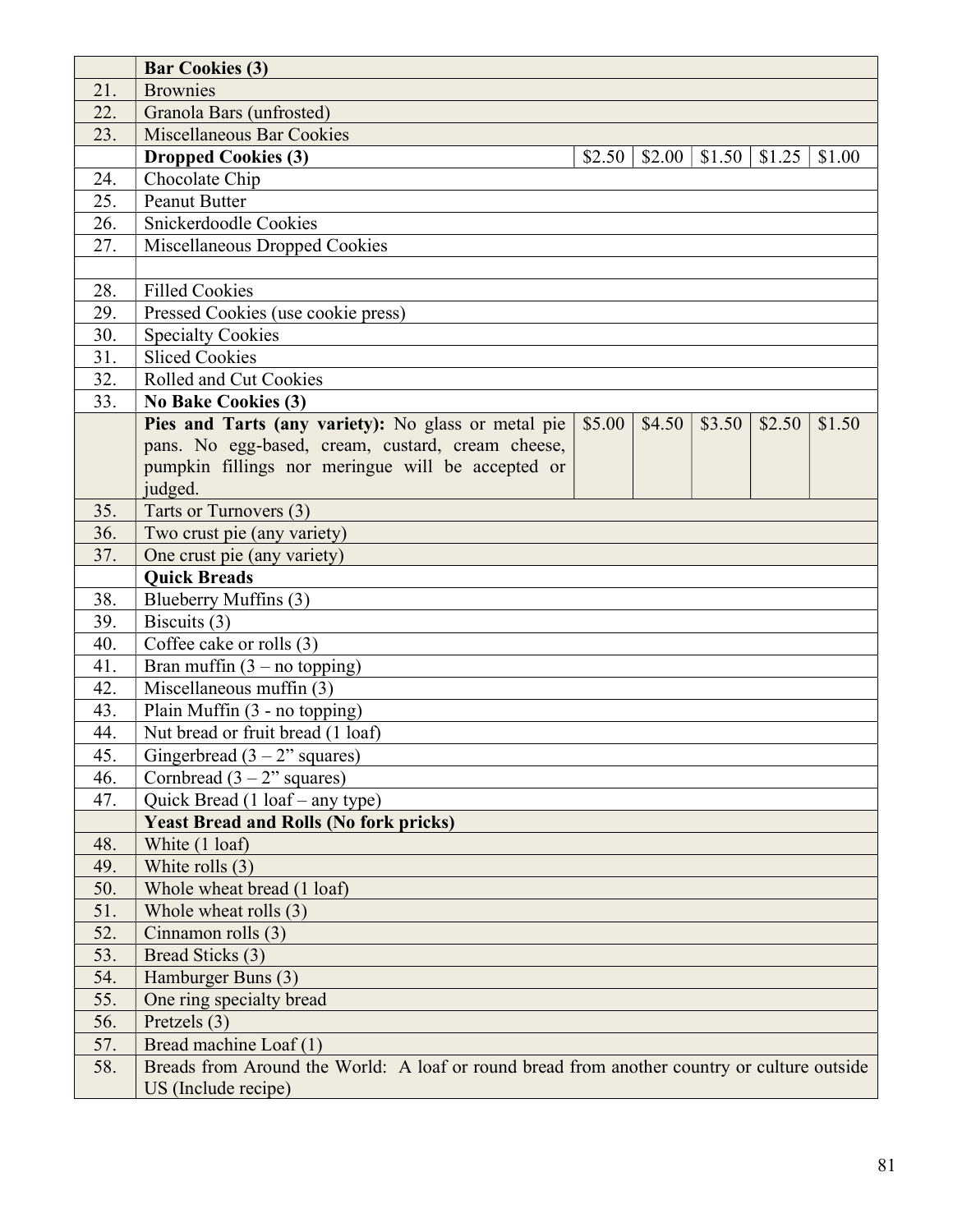|            | <b>Bar Cookies (3)</b>                                                                      |        |        |        |        |        |
|------------|---------------------------------------------------------------------------------------------|--------|--------|--------|--------|--------|
| 21.        | <b>Brownies</b>                                                                             |        |        |        |        |        |
| 22.        | Granola Bars (unfrosted)                                                                    |        |        |        |        |        |
| 23.        | <b>Miscellaneous Bar Cookies</b>                                                            |        |        |        |        |        |
|            | <b>Dropped Cookies (3)</b>                                                                  | \$2.50 | \$2.00 | \$1.50 | \$1.25 | \$1.00 |
| 24.        | Chocolate Chip                                                                              |        |        |        |        |        |
| 25.        | <b>Peanut Butter</b>                                                                        |        |        |        |        |        |
| 26.        | Snickerdoodle Cookies                                                                       |        |        |        |        |        |
| 27.        | Miscellaneous Dropped Cookies                                                               |        |        |        |        |        |
|            |                                                                                             |        |        |        |        |        |
| 28.        | <b>Filled Cookies</b>                                                                       |        |        |        |        |        |
| 29.        | Pressed Cookies (use cookie press)                                                          |        |        |        |        |        |
| 30.        | <b>Specialty Cookies</b>                                                                    |        |        |        |        |        |
| 31.        | <b>Sliced Cookies</b>                                                                       |        |        |        |        |        |
| 32.        | Rolled and Cut Cookies                                                                      |        |        |        |        |        |
| 33.        | <b>No Bake Cookies (3)</b>                                                                  |        |        |        |        |        |
|            | Pies and Tarts (any variety): No glass or metal pie                                         | \$5.00 | \$4.50 | \$3.50 | \$2.50 | \$1.50 |
|            | pans. No egg-based, cream, custard, cream cheese,                                           |        |        |        |        |        |
|            | pumpkin fillings nor meringue will be accepted or                                           |        |        |        |        |        |
|            | judged.                                                                                     |        |        |        |        |        |
| 35.        | Tarts or Turnovers (3)                                                                      |        |        |        |        |        |
| 36.        | Two crust pie (any variety)                                                                 |        |        |        |        |        |
| 37.        | One crust pie (any variety)                                                                 |        |        |        |        |        |
|            | <b>Quick Breads</b>                                                                         |        |        |        |        |        |
| 38.        | Blueberry Muffins (3)                                                                       |        |        |        |        |        |
| 39.        | Biscuits (3)                                                                                |        |        |        |        |        |
| 40.        | Coffee cake or rolls (3)                                                                    |        |        |        |        |        |
| 41.        | Bran muffin $(3 - no topping)$                                                              |        |        |        |        |        |
| 42.        | Miscellaneous muffin (3)                                                                    |        |        |        |        |        |
| 43.        | Plain Muffin (3 - no topping)                                                               |        |        |        |        |        |
| 44.        | Nut bread or fruit bread (1 loaf)                                                           |        |        |        |        |        |
| 45.        | Gingerbread $(3 – 2"$ squares)                                                              |        |        |        |        |        |
| 46.        | Cornbread $(3 – 2"$ squares)                                                                |        |        |        |        |        |
| 47.        | Quick Bread (1 loaf – any type)                                                             |        |        |        |        |        |
|            | <b>Yeast Bread and Rolls (No fork pricks)</b>                                               |        |        |        |        |        |
| 48.        | White (1 loaf)                                                                              |        |        |        |        |        |
| 49.        | White rolls (3)                                                                             |        |        |        |        |        |
| 50.        | Whole wheat bread (1 loaf)                                                                  |        |        |        |        |        |
| 51.        | Whole wheat rolls (3)                                                                       |        |        |        |        |        |
| 52.        | Cinnamon rolls (3)                                                                          |        |        |        |        |        |
| 53.<br>54. | Bread Sticks (3)                                                                            |        |        |        |        |        |
|            | Hamburger Buns (3)                                                                          |        |        |        |        |        |
| 55.        | One ring specialty bread                                                                    |        |        |        |        |        |
| 56.        | Pretzels (3)                                                                                |        |        |        |        |        |
| 57.        | Bread machine Loaf (1)                                                                      |        |        |        |        |        |
| 58.        | Breads from Around the World: A loaf or round bread from another country or culture outside |        |        |        |        |        |
|            | US (Include recipe)                                                                         |        |        |        |        |        |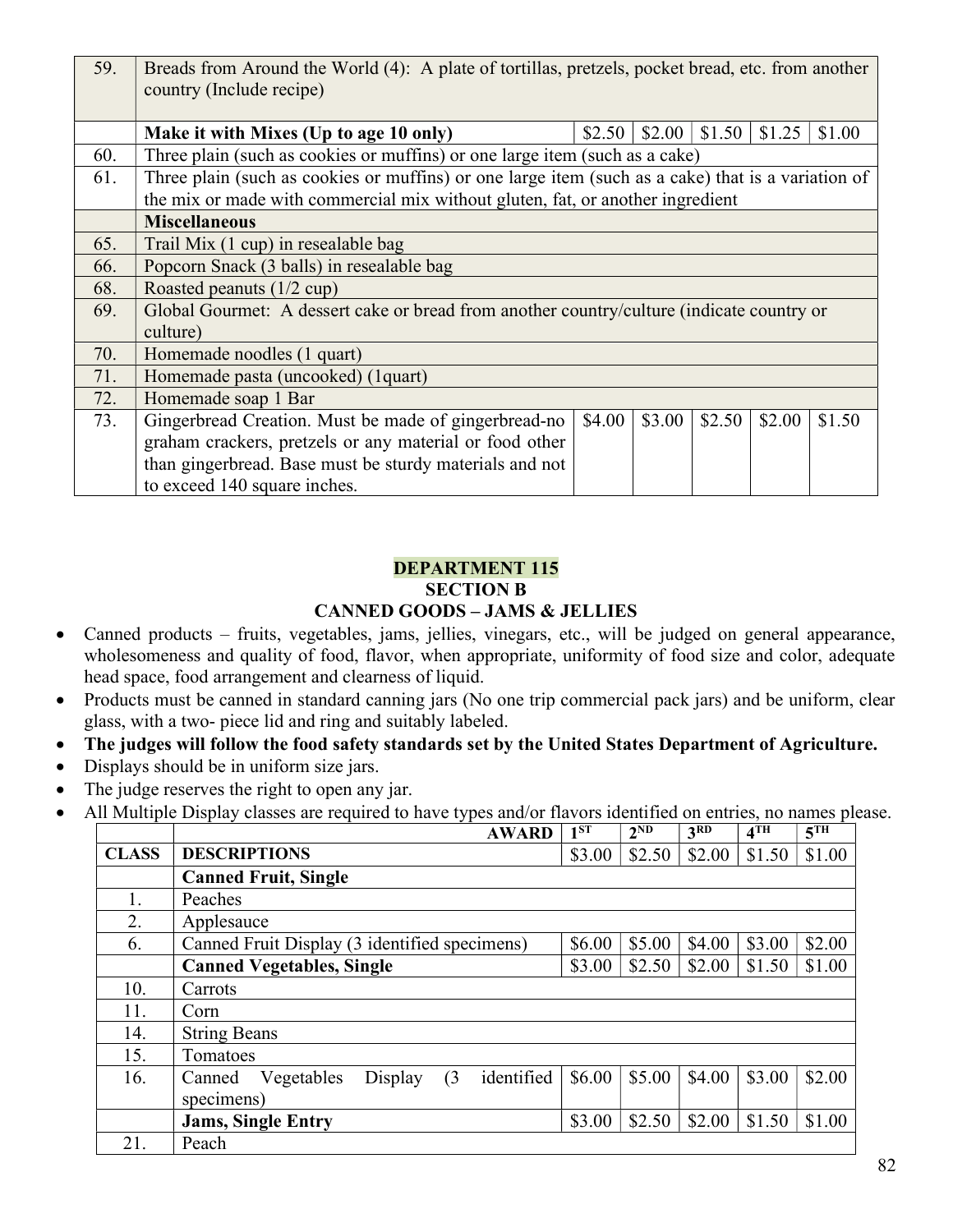| 59. | Breads from Around the World (4): A plate of tortillas, pretzels, pocket bread, etc. from another<br>country (Include recipe) |        |        |        |        |        |  |  |
|-----|-------------------------------------------------------------------------------------------------------------------------------|--------|--------|--------|--------|--------|--|--|
|     | Make it with Mixes (Up to age 10 only)                                                                                        | \$2.50 | \$2.00 | \$1.50 | \$1.25 | \$1.00 |  |  |
| 60. | Three plain (such as cookies or muffins) or one large item (such as a cake)                                                   |        |        |        |        |        |  |  |
| 61. | Three plain (such as cookies or muffins) or one large item (such as a cake) that is a variation of                            |        |        |        |        |        |  |  |
|     | the mix or made with commercial mix without gluten, fat, or another ingredient                                                |        |        |        |        |        |  |  |
|     | <b>Miscellaneous</b>                                                                                                          |        |        |        |        |        |  |  |
| 65. | Trail Mix (1 cup) in resealable bag                                                                                           |        |        |        |        |        |  |  |
| 66. | Popcorn Snack (3 balls) in resealable bag                                                                                     |        |        |        |        |        |  |  |
| 68. | Roasted peanuts (1/2 cup)                                                                                                     |        |        |        |        |        |  |  |
| 69. | Global Gourmet: A dessert cake or bread from another country/culture (indicate country or<br>culture)                         |        |        |        |        |        |  |  |
| 70. | Homemade noodles (1 quart)                                                                                                    |        |        |        |        |        |  |  |
| 71. | Homemade pasta (uncooked) (1 quart)                                                                                           |        |        |        |        |        |  |  |
| 72. | Homemade soap 1 Bar                                                                                                           |        |        |        |        |        |  |  |
| 73. | Gingerbread Creation. Must be made of gingerbread-no                                                                          | \$4.00 | \$3.00 | \$2.50 | \$2.00 | \$1.50 |  |  |
|     | graham crackers, pretzels or any material or food other                                                                       |        |        |        |        |        |  |  |
|     | than gingerbread. Base must be sturdy materials and not                                                                       |        |        |        |        |        |  |  |
|     | to exceed 140 square inches.                                                                                                  |        |        |        |        |        |  |  |

## DEPARTMENT 115 SECTION B CANNED GOODS – JAMS & JELLIES

- Canned products fruits, vegetables, jams, jellies, vinegars, etc., will be judged on general appearance, wholesomeness and quality of food, flavor, when appropriate, uniformity of food size and color, adequate head space, food arrangement and clearness of liquid.
- Products must be canned in standard canning jars (No one trip commercial pack jars) and be uniform, clear glass, with a two- piece lid and ring and suitably labeled.
- The judges will follow the food safety standards set by the United States Department of Agriculture.
- Displays should be in uniform size jars.
- The judge reserves the right to open any jar.
- All Multiple Display classes are required to have types and/or flavors identified on entries, no names please.

|              | <b>AWARD</b>                                         | $1^{ST}$ | $2^{ND}$ | 3 <sup>RD</sup> | 4 <sup>TH</sup> | $5^{\text{TH}}$ |
|--------------|------------------------------------------------------|----------|----------|-----------------|-----------------|-----------------|
| <b>CLASS</b> | <b>DESCRIPTIONS</b>                                  | \$3.00   | \$2.50   | \$2.00          | \$1.50          | \$1.00          |
|              | <b>Canned Fruit, Single</b>                          |          |          |                 |                 |                 |
|              | Peaches                                              |          |          |                 |                 |                 |
| 2.           | Applesauce                                           |          |          |                 |                 |                 |
| 6.           | Canned Fruit Display (3 identified specimens)        | \$6.00   | \$5.00   | \$4.00          | \$3.00          | \$2.00          |
|              | <b>Canned Vegetables, Single</b>                     | \$3.00   | \$2.50   | \$2.00          | \$1.50          | \$1.00          |
| 10.          | Carrots                                              |          |          |                 |                 |                 |
| 11.          | Corn                                                 |          |          |                 |                 |                 |
| 14.          | <b>String Beans</b>                                  |          |          |                 |                 |                 |
| 15.          | Tomatoes                                             |          |          |                 |                 |                 |
| 16.          | identified<br>(3)<br>Display<br>Vegetables<br>Canned | \$6.00   | \$5.00   | \$4.00          | \$3.00          | \$2.00          |
|              | specimens)                                           |          |          |                 |                 |                 |
|              | <b>Jams, Single Entry</b>                            | \$3.00   | \$2.50   | \$2.00          | \$1.50          | \$1.00          |
| 21.          | Peach                                                |          |          |                 |                 |                 |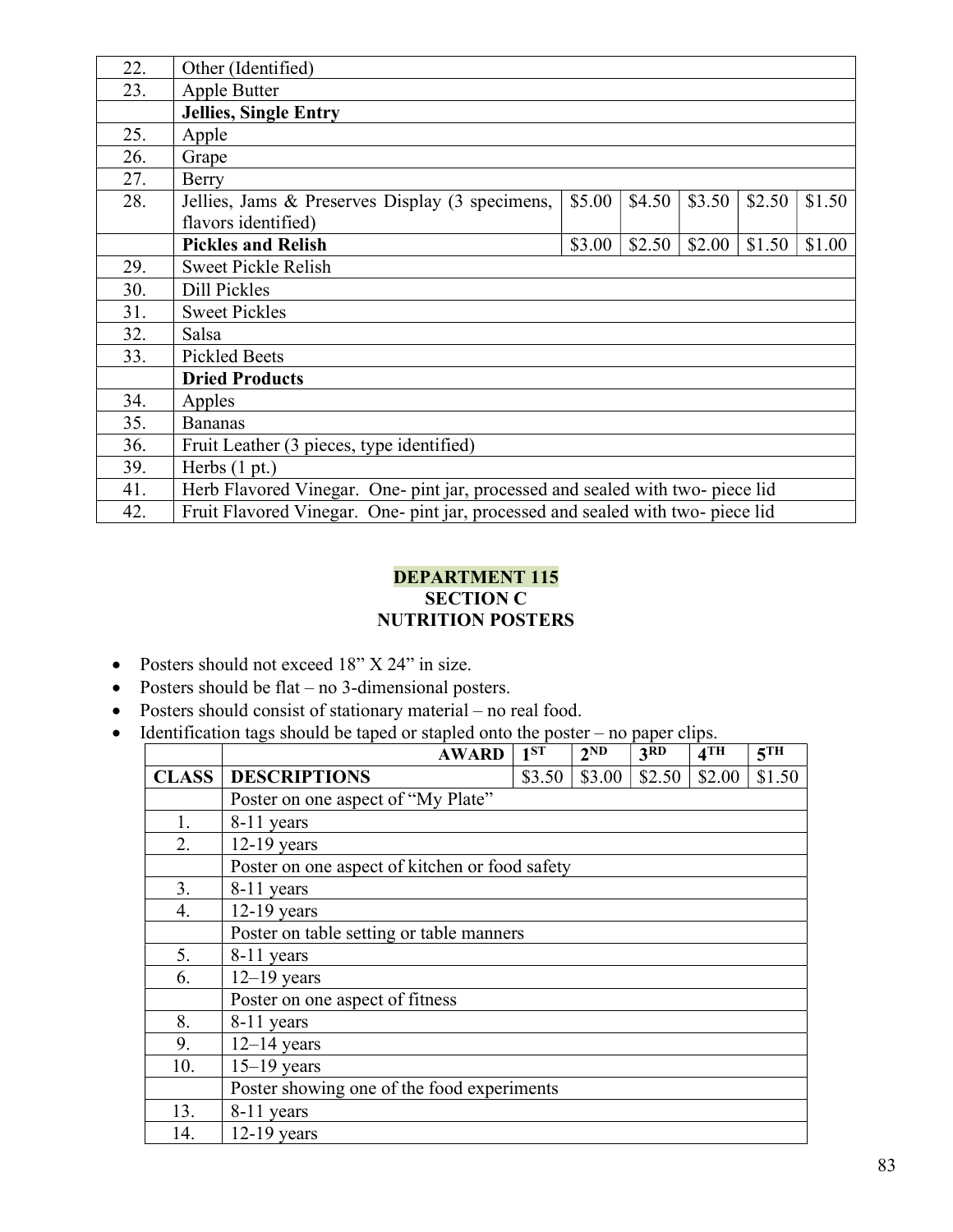| 22. | Other (Identified)                                                              |        |        |        |        |        |
|-----|---------------------------------------------------------------------------------|--------|--------|--------|--------|--------|
| 23. | Apple Butter                                                                    |        |        |        |        |        |
|     | <b>Jellies, Single Entry</b>                                                    |        |        |        |        |        |
| 25. | Apple                                                                           |        |        |        |        |        |
| 26. | Grape                                                                           |        |        |        |        |        |
| 27. | Berry                                                                           |        |        |        |        |        |
| 28. | Jellies, Jams & Preserves Display (3 specimens,                                 | \$5.00 | \$4.50 | \$3.50 | \$2.50 | \$1.50 |
|     | flavors identified)                                                             |        |        |        |        |        |
|     | <b>Pickles and Relish</b>                                                       | \$3.00 | \$2.50 | \$2.00 | \$1.50 | \$1.00 |
| 29. | <b>Sweet Pickle Relish</b>                                                      |        |        |        |        |        |
| 30. | Dill Pickles                                                                    |        |        |        |        |        |
| 31. | <b>Sweet Pickles</b>                                                            |        |        |        |        |        |
| 32. | Salsa                                                                           |        |        |        |        |        |
| 33. | <b>Pickled Beets</b>                                                            |        |        |        |        |        |
|     | <b>Dried Products</b>                                                           |        |        |        |        |        |
| 34. | Apples                                                                          |        |        |        |        |        |
| 35. | <b>Bananas</b>                                                                  |        |        |        |        |        |
| 36. | Fruit Leather (3 pieces, type identified)                                       |        |        |        |        |        |
| 39. | Herbs $(1 pt.)$                                                                 |        |        |        |        |        |
| 41. | Herb Flavored Vinegar. One- pint jar, processed and sealed with two- piece lid  |        |        |        |        |        |
| 42. | Fruit Flavored Vinegar. One- pint jar, processed and sealed with two- piece lid |        |        |        |        |        |

## DEPARTMENT 115 SECTION C NUTRITION POSTERS

- Posters should not exceed 18" X 24" in size.
- Posters should be flat no 3-dimensional posters.
- Posters should consist of stationary material no real food.
- Identification tags should be taped or stapled onto the poster no paper clips.

|              | <b>AWARD</b>                               | $1^{ST}$                                       | 2 <sup>ND</sup> | 3 <sub>RD</sub> | 4TH    | 5 <sup>TH</sup> |  |  |  |
|--------------|--------------------------------------------|------------------------------------------------|-----------------|-----------------|--------|-----------------|--|--|--|
| <b>CLASS</b> | <b>DESCRIPTIONS</b>                        | \$3.50                                         | \$3.00          | \$2.50          | \$2.00 | \$1.50          |  |  |  |
|              | Poster on one aspect of "My Plate"         |                                                |                 |                 |        |                 |  |  |  |
| 1.           | 8-11 years                                 |                                                |                 |                 |        |                 |  |  |  |
| 2.           | $12-19$ years                              |                                                |                 |                 |        |                 |  |  |  |
|              |                                            | Poster on one aspect of kitchen or food safety |                 |                 |        |                 |  |  |  |
| 3.           | 8-11 years                                 |                                                |                 |                 |        |                 |  |  |  |
| 4.           | $12-19$ years                              |                                                |                 |                 |        |                 |  |  |  |
|              | Poster on table setting or table manners   |                                                |                 |                 |        |                 |  |  |  |
| 5.           | 8-11 years                                 |                                                |                 |                 |        |                 |  |  |  |
| 6.           | $12-19$ years                              |                                                |                 |                 |        |                 |  |  |  |
|              | Poster on one aspect of fitness            |                                                |                 |                 |        |                 |  |  |  |
| 8.           | 8-11 years                                 |                                                |                 |                 |        |                 |  |  |  |
| 9.           | $12-14$ years                              |                                                |                 |                 |        |                 |  |  |  |
| 10.          | $15-19$ years                              |                                                |                 |                 |        |                 |  |  |  |
|              | Poster showing one of the food experiments |                                                |                 |                 |        |                 |  |  |  |
| 13.          | 8-11 years                                 |                                                |                 |                 |        |                 |  |  |  |
| 14.          | $12-19$ years                              |                                                |                 |                 |        |                 |  |  |  |